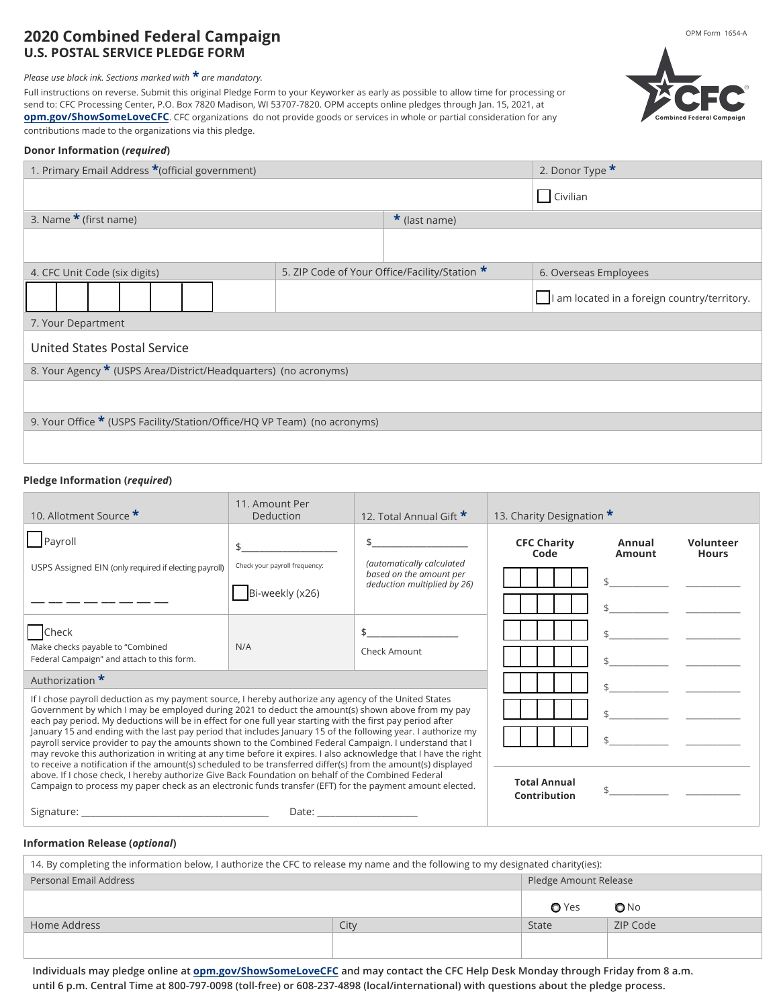### **2020 Combined Federal Campaign U.S. POSTAL SERVICE PLEDGE FORM**

 *Please use black ink. Sections marked with* **\*** *are mandatory.* 

 **[opm.gov/ShowSomeLoveCFC](https://cfcgiving.opm.gov/welcome)**. CFC organizations do not provide goods or services in whole or partial consideration for any contributions made to the organizations via this pledge. Full instructions on reverse. Submit this original Pledge Form to your Keyworker as early as possible to allow time for processing or send to: CFC Processing Center, P.O. Box 7820 Madison, WI 53707-7820. OPM accepts online pledges through Jan. 15, 2021, at

#### **Donor Information (***required***)**

| 1. Primary Email Address *(official government)                          |                                               |                     | 2. Donor Type *                              |  |  |
|--------------------------------------------------------------------------|-----------------------------------------------|---------------------|----------------------------------------------|--|--|
|                                                                          |                                               |                     | Civilian                                     |  |  |
| 3. Name $\star$ (first name)                                             |                                               | $\star$ (last name) |                                              |  |  |
|                                                                          |                                               |                     |                                              |  |  |
| 4. CFC Unit Code (six digits)                                            | 5. ZIP Code of Your Office/Facility/Station * |                     | 6. Overseas Employees                        |  |  |
|                                                                          |                                               |                     | I am located in a foreign country/territory. |  |  |
| 7. Your Department                                                       |                                               |                     |                                              |  |  |
| <b>United States Postal Service</b>                                      |                                               |                     |                                              |  |  |
| 8. Your Agency * (USPS Area/District/Headquarters) (no acronyms)         |                                               |                     |                                              |  |  |
|                                                                          |                                               |                     |                                              |  |  |
| 9. Your Office * (USPS Facility/Station/Office/HQ VP Team) (no acronyms) |                                               |                     |                                              |  |  |
|                                                                          |                                               |                     |                                              |  |  |

### **Pledge Information (***required***)**

| 10. Allotment Source *                                                                                                                                                                                                                                                                                                                                                                                                                                        | 11. Amount Per<br>Deduction                                                                                                                                                                                                    | 12. Total Annual Gift *                                                             | 13. Charity Designation *           |                  |                                  |
|---------------------------------------------------------------------------------------------------------------------------------------------------------------------------------------------------------------------------------------------------------------------------------------------------------------------------------------------------------------------------------------------------------------------------------------------------------------|--------------------------------------------------------------------------------------------------------------------------------------------------------------------------------------------------------------------------------|-------------------------------------------------------------------------------------|-------------------------------------|------------------|----------------------------------|
| Payroll<br>USPS Assigned EIN (only required if electing payroll)                                                                                                                                                                                                                                                                                                                                                                                              | Check your payroll frequency:<br>Bi-weekly (x26)                                                                                                                                                                               | (automatically calculated<br>based on the amount per<br>deduction multiplied by 26) | <b>CFC Charity</b><br>Code          | Annual<br>Amount | <b>Volunteer</b><br><b>Hours</b> |
| Check<br>Make checks payable to "Combined<br>Federal Campaign" and attach to this form.                                                                                                                                                                                                                                                                                                                                                                       | N/A                                                                                                                                                                                                                            | Check Amount                                                                        |                                     |                  |                                  |
| Authorization *                                                                                                                                                                                                                                                                                                                                                                                                                                               |                                                                                                                                                                                                                                |                                                                                     |                                     |                  |                                  |
| If I chose payroll deduction as my payment source, I hereby authorize any agency of the United States<br>Government by which I may be employed during 2021 to deduct the amount(s) shown above from my pay<br>each pay period. My deductions will be in effect for one full year starting with the first pay period after                                                                                                                                     |                                                                                                                                                                                                                                |                                                                                     |                                     |                  |                                  |
| January 15 and ending with the last pay period that includes January 15 of the following year. I authorize my<br>payroll service provider to pay the amounts shown to the Combined Federal Campaign. I understand that I<br>may revoke this authorization in writing at any time before it expires. I also acknowledge that I have the right<br>to receive a notification if the amount(s) scheduled to be transferred differ(s) from the amount(s) displayed |                                                                                                                                                                                                                                |                                                                                     |                                     |                  |                                  |
| above. If I chose check, I hereby authorize Give Back Foundation on behalf of the Combined Federal<br>Campaign to process my paper check as an electronic funds transfer (EFT) for the payment amount elected.                                                                                                                                                                                                                                                |                                                                                                                                                                                                                                |                                                                                     | <b>Total Annual</b><br>Contribution |                  |                                  |
| Signature: the contract of the contract of the contract of the contract of the contract of the contract of the contract of the contract of the contract of the contract of the contract of the contract of the contract of the                                                                                                                                                                                                                                | Date: the contract of the contract of the contract of the contract of the contract of the contract of the contract of the contract of the contract of the contract of the contract of the contract of the contract of the cont |                                                                                     |                                     |                  |                                  |

#### **Information Release (***optional***)**

| 14. By completing the information below, I authorize the CFC to release my name and the following to my designated charity(ies): |      |         |                       |  |  |
|----------------------------------------------------------------------------------------------------------------------------------|------|---------|-----------------------|--|--|
| <b>Personal Email Address</b>                                                                                                    |      |         | Pledge Amount Release |  |  |
|                                                                                                                                  |      | $O$ Yes | ONO                   |  |  |
| Home Address                                                                                                                     | City | State   | ZIP Code              |  |  |
|                                                                                                                                  |      |         |                       |  |  |

 **Individuals may pledge online at opm.gov/ShowSomeLoveCFC and may contact the CFC Help Desk Monday through Friday from 8 a.m. until 6 p.m. Central Time at 800-797-0098 (toll-free) or 608-237-4898 (local/international) with questions about the pledge process.**